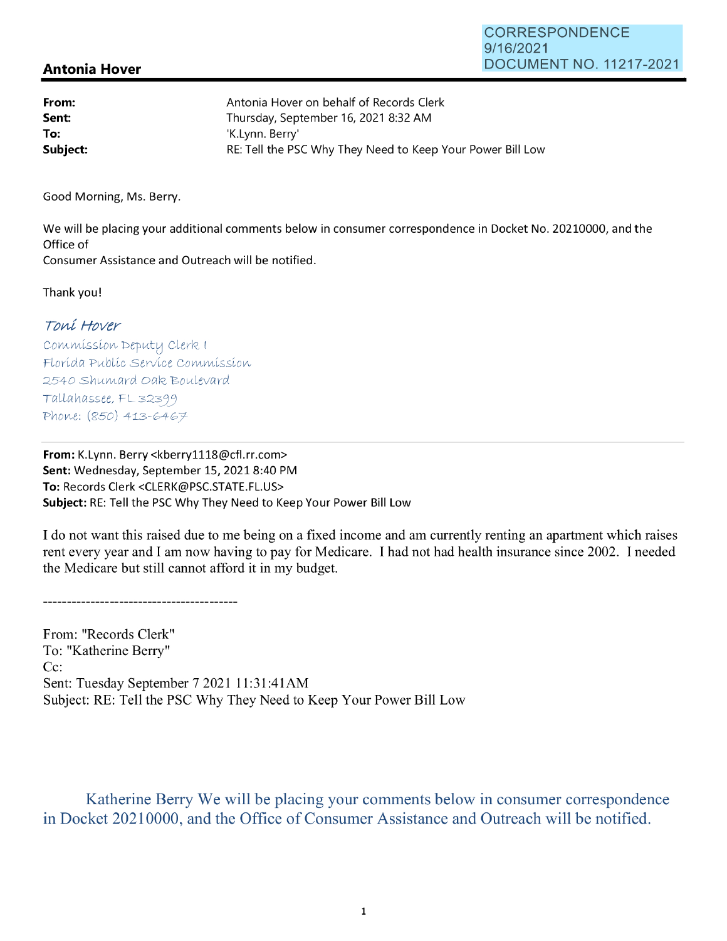## **Antonia Hover**

| From:    | Antonia Hover on behalf of Records Clerk                   |
|----------|------------------------------------------------------------|
| Sent:    | Thursday, September 16, 2021 8:32 AM                       |
| To:      | 'K.Lynn. Berry'                                            |
| Subject: | RE: Tell the PSC Why They Need to Keep Your Power Bill Low |

Good Morning, Ms. Berry.

We will be placing your additional comments below in consumer correspondence in Docket No. 20210000, and the Office of Consumer Assistance and Outreach will be notified.

Thank you!

## roni Hover

Commission Deputy Clerk I Florída Publíc Service Commission 2540 Shumard Oak Boulevard Tallahassee, FL32399 Phone: *(850)* 413-6467

**From:** K.Lynn. Berry <kberry1118@cfl.rr.com> Sent: Wednesday, September 15, 2021 8:40 PM **To:** Records Clerk <CLERK@PSC.STATE.FL.US> **Subject:** RE: Tell the PSC Why They Need to Keep Your Power Bill Low

I do not want this raised due to me being on a fixed income and am currently renting an apartment which raises rent every year and I am now having to pay for Medicare. I had not had health insurance since 2002. I needed the Medicare but still cannot afford it in my budget.

--------------------------------------

From: "Records Clerk" To: "Katherine Berry" Cc: Sent: Tuesday September 7 2021 11:31 :41AM Subject: RE: Tell the PSC Why They Need to Keep Your Power Bill Low

Katherine Berry We will be placing your comments below in consumer correspondence in Docket 20210000, and the Office of Consumer Assistance and Outreach will be notified.